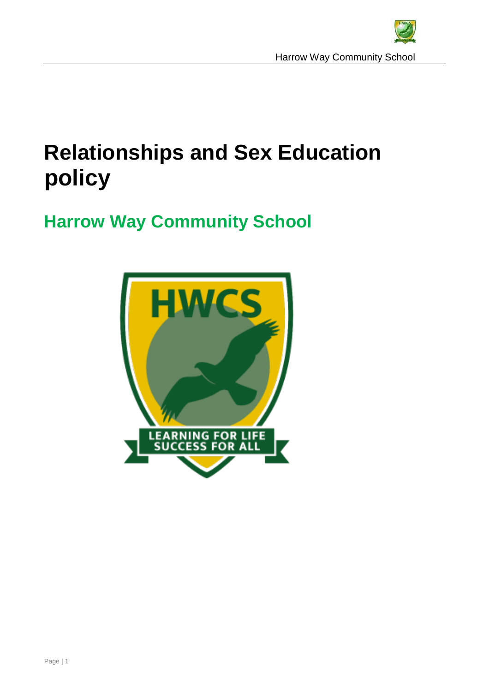

# **Relationships and Sex Education policy**

## **Harrow Way Community School**

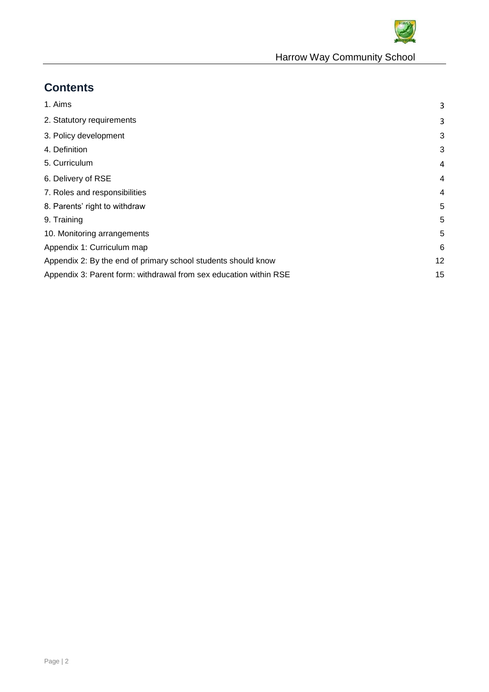

## **Contents**

<span id="page-1-0"></span>

| 1. Aims                                                           | 3              |
|-------------------------------------------------------------------|----------------|
| 2. Statutory requirements                                         | 3              |
| 3. Policy development                                             | 3              |
| 4. Definition                                                     | 3              |
| 5. Curriculum                                                     | 4              |
| 6. Delivery of RSE                                                | 4              |
| 7. Roles and responsibilities                                     | $\overline{4}$ |
| 8. Parents' right to withdraw                                     | 5              |
| 9. Training                                                       | 5              |
| 10. Monitoring arrangements                                       | 5              |
| Appendix 1: Curriculum map                                        | 6              |
| Appendix 2: By the end of primary school students should know     | 12             |
| Appendix 3: Parent form: withdrawal from sex education within RSE | 15             |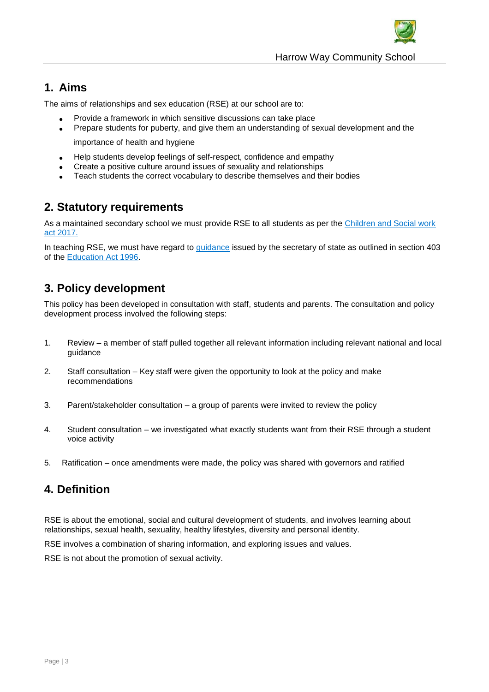

## **1. Aims**

The aims of relationships and sex education (RSE) at our school are to:

- Provide a framework in which sensitive discussions can take place
- Prepare students for puberty, and give them an understanding of sexual development and the

importance of health and hygiene

- Help students develop feelings of self-respect, confidence and empathy
- Create a positive culture around issues of sexuality and relationships
- Teach students the correct vocabulary to describe themselves and their bodies

### <span id="page-2-0"></span>**2. Statutory requirements**

As a maintained secondary school we must provide RSE to all students as per the [Children and Social work](http://www.legislation.gov.uk/ukpga/2017/16/section/34/enacted)  [act 2017.](http://www.legislation.gov.uk/ukpga/2017/16/section/34/enacted)

In teaching RSE, we must have regard to [guidance](https://www.gov.uk/government/consultations/relationships-and-sex-education-and-health-education) issued by the secretary of state as outlined in section 403 of the [Education Act 1996.](http://www.legislation.gov.uk/ukpga/1996/56/contents)

## **3. Policy development**

This policy has been developed in consultation with staff, students and parents. The consultation and policy development process involved the following steps:

- 1. Review a member of staff pulled together all relevant information including relevant national and local guidance
- 2. Staff consultation Key staff were given the opportunity to look at the policy and make recommendations
- 3. Parent/stakeholder consultation a group of parents were invited to review the policy
- 4. Student consultation we investigated what exactly students want from their RSE through a student voice activity
- 5. Ratification once amendments were made, the policy was shared with governors and ratified

## **4. Definition**

RSE is about the emotional, social and cultural development of students, and involves learning about relationships, sexual health, sexuality, healthy lifestyles, diversity and personal identity.

RSE involves a combination of sharing information, and exploring issues and values.

<span id="page-2-1"></span>RSE is not about the promotion of sexual activity.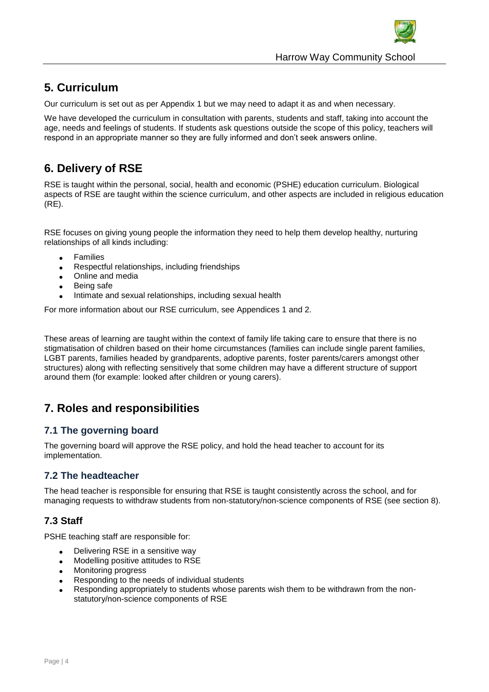

## **5. Curriculum**

Our curriculum is set out as per Appendix 1 but we may need to adapt it as and when necessary.

We have developed the curriculum in consultation with parents, students and staff, taking into account the age, needs and feelings of students. If students ask questions outside the scope of this policy, teachers will respond in an appropriate manner so they are fully informed and don't seek answers online.

## **6. Delivery of RSE**

RSE is taught within the personal, social, health and economic (PSHE) education curriculum. Biological aspects of RSE are taught within the science curriculum, and other aspects are included in religious education (RE).

RSE focuses on giving young people the information they need to help them develop healthy, nurturing relationships of all kinds including:

- Families
- Respectful relationships, including friendships
- Online and media
- Being safe
- Intimate and sexual relationships, including sexual health

For more information about our RSE curriculum, see Appendices 1 and 2.

These areas of learning are taught within the context of family life taking care to ensure that there is no stigmatisation of children based on their home circumstances (families can include single parent families, LGBT parents, families headed by grandparents, adoptive parents, foster parents/carers amongst other structures) along with reflecting sensitively that some children may have a different structure of support around them (for example: looked after children or young carers).

## <span id="page-3-0"></span>**7. Roles and responsibilities**

#### **7.1 The governing board**

The governing board will approve the RSE policy, and hold the head teacher to account for its implementation.

#### **7.2 The headteacher**

The head teacher is responsible for ensuring that RSE is taught consistently across the school, and for managing requests to withdraw students from non-statutory/non-science components of RSE (see section 8).

#### **7.3 Staff**

PSHE teaching staff are responsible for:

- Delivering RSE in a sensitive way
- Modelling positive attitudes to RSE
- Monitoring progress
- Responding to the needs of individual students
- Responding appropriately to students whose parents wish them to be withdrawn from the nonstatutory/non-science components of RSE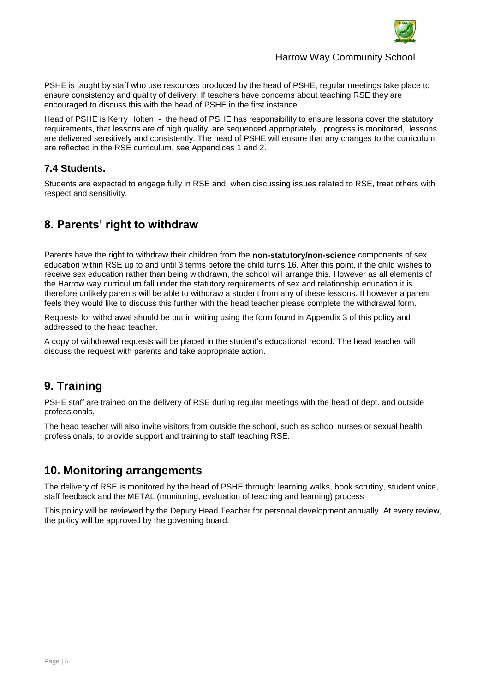

PSHE is taught by staff who use resources produced by the head of PSHE, regular meetings take place to ensure consistency and quality of delivery. If teachers have concerns about teaching RSE they are encouraged to discuss this with the head of PSHE in the first instance.

Head of PSHE is Kerry Holten - the head of PSHE has responsibility to ensure lessons cover the statutory requirements, that lessons are of high quality, are sequenced appropriately , progress is monitored, lessons are delivered sensitively and consistently. The head of PSHE will ensure that any changes to the curriculum are reflected in the RSE curriculum, see Appendices 1 and 2.

#### **7.4 Students.**

Students are expected to engage fully in RSE and, when discussing issues related to RSE, treat others with respect and sensitivity.

## <span id="page-4-0"></span>**8. Parents' right to withdraw**

Parents have the right to withdraw their children from the **non-statutory/non-science** components of sex education within RSE up to and until 3 terms before the child turns 16. After this point, if the child wishes to receive sex education rather than being withdrawn, the school will arrange this. However as all elements of the Harrow way curriculum fall under the statutory requirements of sex and relationship education it is therefore unlikely parents will be able to withdraw a student from any of these lessons. If however a parent feels they would like to discuss this further with the head teacher please complete the withdrawal form.

Requests for withdrawal should be put in writing using the form found in Appendix 3 of this policy and addressed to the head teacher.

A copy of withdrawal requests will be placed in the student's educational record. The head teacher will discuss the request with parents and take appropriate action.

## <span id="page-4-1"></span>**9. Training**

PSHE staff are trained on the delivery of RSE during regular meetings with the head of dept. and outside professionals,

The head teacher will also invite visitors from outside the school, such as school nurses or sexual health professionals, to provide support and training to staff teaching RSE.

## <span id="page-4-2"></span>**10. Monitoring arrangements**

The delivery of RSE is monitored by the head of PSHE through: learning walks, book scrutiny, student voice, staff feedback and the METAL (monitoring, evaluation of teaching and learning) process

This policy will be reviewed by the Deputy Head Teacher for personal development annually. At every review, the policy will be approved by the governing board.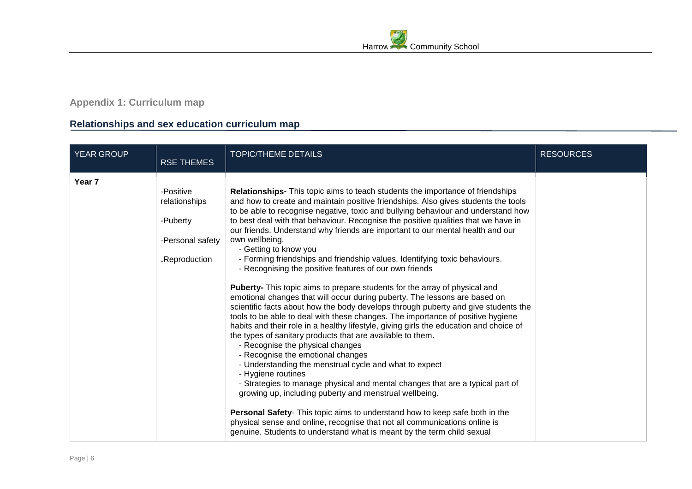## **Appendix 1: Curriculum map**

## **Relationships and sex education curriculum map**

<span id="page-5-0"></span>

| YEAR GROUP | <b>RSE THEMES</b>                                                           | <b>TOPIC/THEME DETAILS</b>                                                                                                                                                                                                                                                                                                                                                                                                                                                                                                                                                                                                                                                                                                                                                                                                                                                                                                                                                                                                                                                                                                                                                                                                                                                                                                                                                                                                                                                                                                                                                                                                                                          | <b>RESOURCES</b> |
|------------|-----------------------------------------------------------------------------|---------------------------------------------------------------------------------------------------------------------------------------------------------------------------------------------------------------------------------------------------------------------------------------------------------------------------------------------------------------------------------------------------------------------------------------------------------------------------------------------------------------------------------------------------------------------------------------------------------------------------------------------------------------------------------------------------------------------------------------------------------------------------------------------------------------------------------------------------------------------------------------------------------------------------------------------------------------------------------------------------------------------------------------------------------------------------------------------------------------------------------------------------------------------------------------------------------------------------------------------------------------------------------------------------------------------------------------------------------------------------------------------------------------------------------------------------------------------------------------------------------------------------------------------------------------------------------------------------------------------------------------------------------------------|------------------|
| Year 7     | -Positive<br>relationships<br>-Puberty<br>-Personal safety<br>-Reproduction | <b>Relationships-</b> This topic aims to teach students the importance of friendships<br>and how to create and maintain positive friendships. Also gives students the tools<br>to be able to recognise negative, toxic and bullying behaviour and understand how<br>to best deal with that behaviour. Recognise the positive qualities that we have in<br>our friends. Understand why friends are important to our mental health and our<br>own wellbeing.<br>- Getting to know you<br>- Forming friendships and friendship values. Identifying toxic behaviours.<br>- Recognising the positive features of our own friends<br>Puberty- This topic aims to prepare students for the array of physical and<br>emotional changes that will occur during puberty. The lessons are based on<br>scientific facts about how the body develops through puberty and give students the<br>tools to be able to deal with these changes. The importance of positive hygiene<br>habits and their role in a healthy lifestyle, giving girls the education and choice of<br>the types of sanitary products that are available to them.<br>- Recognise the physical changes<br>- Recognise the emotional changes<br>- Understanding the menstrual cycle and what to expect<br>- Hygiene routines<br>- Strategies to manage physical and mental changes that are a typical part of<br>growing up, including puberty and menstrual wellbeing.<br>Personal Safety- This topic aims to understand how to keep safe both in the<br>physical sense and online, recognise that not all communications online is<br>genuine. Students to understand what is meant by the term child sexual |                  |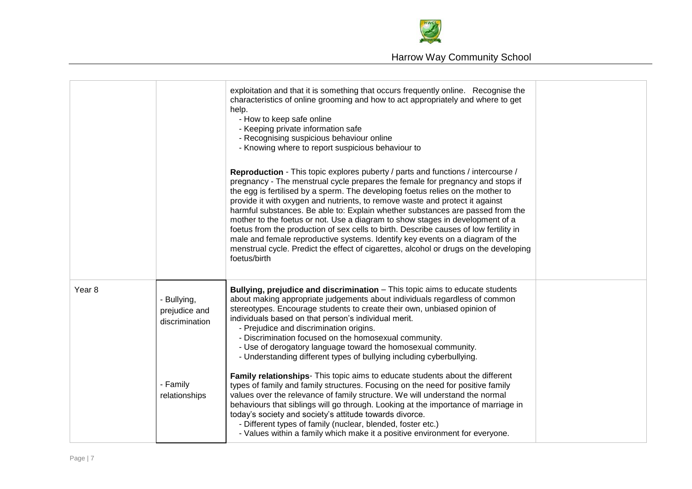

|                   |                                                | exploitation and that it is something that occurs frequently online. Recognise the<br>characteristics of online grooming and how to act appropriately and where to get<br>help.<br>- How to keep safe online<br>- Keeping private information safe<br>- Recognising suspicious behaviour online<br>- Knowing where to report suspicious behaviour to<br><b>Reproduction</b> - This topic explores puberty / parts and functions / intercourse /<br>pregnancy - The menstrual cycle prepares the female for pregnancy and stops if<br>the egg is fertilised by a sperm. The developing foetus relies on the mother to<br>provide it with oxygen and nutrients, to remove waste and protect it against<br>harmful substances. Be able to: Explain whether substances are passed from the<br>mother to the foetus or not. Use a diagram to show stages in development of a<br>foetus from the production of sex cells to birth. Describe causes of low fertility in<br>male and female reproductive systems. Identify key events on a diagram of the<br>menstrual cycle. Predict the effect of cigarettes, alcohol or drugs on the developing<br>foetus/birth |  |
|-------------------|------------------------------------------------|------------------------------------------------------------------------------------------------------------------------------------------------------------------------------------------------------------------------------------------------------------------------------------------------------------------------------------------------------------------------------------------------------------------------------------------------------------------------------------------------------------------------------------------------------------------------------------------------------------------------------------------------------------------------------------------------------------------------------------------------------------------------------------------------------------------------------------------------------------------------------------------------------------------------------------------------------------------------------------------------------------------------------------------------------------------------------------------------------------------------------------------------------------|--|
| Year <sub>8</sub> | - Bullying,<br>prejudice and<br>discrimination | Bullying, prejudice and discrimination - This topic aims to educate students<br>about making appropriate judgements about individuals regardless of common<br>stereotypes. Encourage students to create their own, unbiased opinion of<br>individuals based on that person's individual merit.<br>- Prejudice and discrimination origins.<br>- Discrimination focused on the homosexual community.<br>- Use of derogatory language toward the homosexual community.<br>- Understanding different types of bullying including cyberbullying.                                                                                                                                                                                                                                                                                                                                                                                                                                                                                                                                                                                                                |  |
|                   | - Family<br>relationships                      | <b>Family relationships</b> - This topic aims to educate students about the different<br>types of family and family structures. Focusing on the need for positive family<br>values over the relevance of family structure. We will understand the normal<br>behaviours that siblings will go through. Looking at the importance of marriage in<br>today's society and society's attitude towards divorce.<br>- Different types of family (nuclear, blended, foster etc.)<br>- Values within a family which make it a positive environment for everyone.                                                                                                                                                                                                                                                                                                                                                                                                                                                                                                                                                                                                    |  |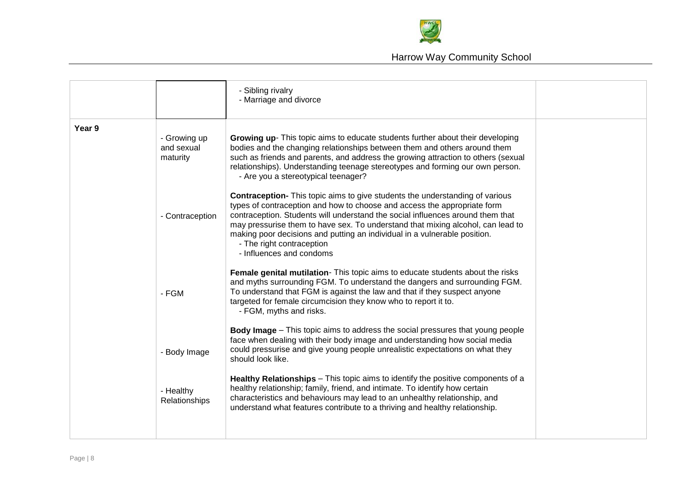

|        |                                        | - Sibling rivalry<br>- Marriage and divorce                                                                                                                                                                                                                                                                                                                                                                                                                                |  |
|--------|----------------------------------------|----------------------------------------------------------------------------------------------------------------------------------------------------------------------------------------------------------------------------------------------------------------------------------------------------------------------------------------------------------------------------------------------------------------------------------------------------------------------------|--|
| Year 9 | - Growing up<br>and sexual<br>maturity | Growing up- This topic aims to educate students further about their developing<br>bodies and the changing relationships between them and others around them<br>such as friends and parents, and address the growing attraction to others (sexual<br>relationships). Understanding teenage stereotypes and forming our own person.<br>- Are you a stereotypical teenager?                                                                                                   |  |
|        | - Contraception                        | <b>Contraception-</b> This topic aims to give students the understanding of various<br>types of contraception and how to choose and access the appropriate form<br>contraception. Students will understand the social influences around them that<br>may pressurise them to have sex. To understand that mixing alcohol, can lead to<br>making poor decisions and putting an individual in a vulnerable position.<br>- The right contraception<br>- Influences and condoms |  |
|        | - FGM                                  | Female genital mutilation- This topic aims to educate students about the risks<br>and myths surrounding FGM. To understand the dangers and surrounding FGM.<br>To understand that FGM is against the law and that if they suspect anyone<br>targeted for female circumcision they know who to report it to.<br>- FGM, myths and risks.                                                                                                                                     |  |
|        | - Body Image                           | <b>Body Image</b> – This topic aims to address the social pressures that young people<br>face when dealing with their body image and understanding how social media<br>could pressurise and give young people unrealistic expectations on what they<br>should look like.                                                                                                                                                                                                   |  |
|        | - Healthy<br>Relationships             | Healthy Relationships - This topic aims to identify the positive components of a<br>healthy relationship; family, friend, and intimate. To identify how certain<br>characteristics and behaviours may lead to an unhealthy relationship, and<br>understand what features contribute to a thriving and healthy relationship.                                                                                                                                                |  |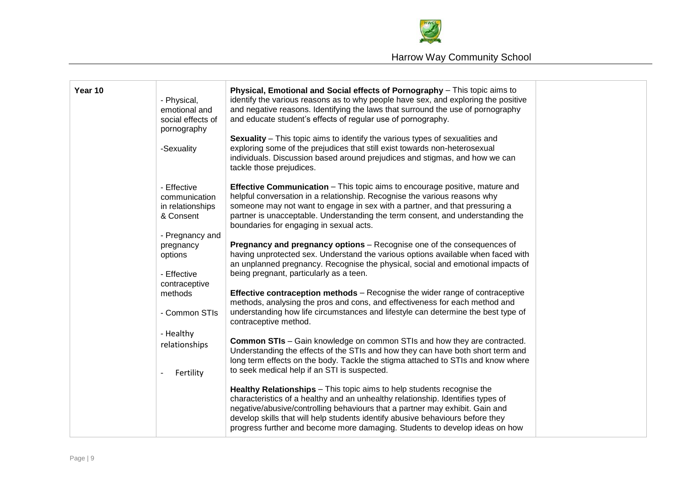

| Year 10 | - Physical,<br>emotional and<br>social effects of<br>pornography<br>-Sexuality | Physical, Emotional and Social effects of Pornography - This topic aims to<br>identify the various reasons as to why people have sex, and exploring the positive<br>and negative reasons. Identifying the laws that surround the use of pornography<br>and educate student's effects of regular use of pornography.<br><b>Sexuality</b> – This topic aims to identify the various types of sexualities and<br>exploring some of the prejudices that still exist towards non-heterosexual<br>individuals. Discussion based around prejudices and stigmas, and how we can<br>tackle those prejudices. |  |
|---------|--------------------------------------------------------------------------------|-----------------------------------------------------------------------------------------------------------------------------------------------------------------------------------------------------------------------------------------------------------------------------------------------------------------------------------------------------------------------------------------------------------------------------------------------------------------------------------------------------------------------------------------------------------------------------------------------------|--|
|         | - Effective<br>communication<br>in relationships<br>& Consent                  | <b>Effective Communication</b> – This topic aims to encourage positive, mature and<br>helpful conversation in a relationship. Recognise the various reasons why<br>someone may not want to engage in sex with a partner, and that pressuring a<br>partner is unacceptable. Understanding the term consent, and understanding the<br>boundaries for engaging in sexual acts.                                                                                                                                                                                                                         |  |
|         | - Pregnancy and<br>pregnancy<br>options<br>- Effective<br>contraceptive        | Pregnancy and pregnancy options - Recognise one of the consequences of<br>having unprotected sex. Understand the various options available when faced with<br>an unplanned pregnancy. Recognise the physical, social and emotional impacts of<br>being pregnant, particularly as a teen.                                                                                                                                                                                                                                                                                                            |  |
|         | methods<br>- Common STIs<br>- Healthy                                          | <b>Effective contraception methods</b> – Recognise the wider range of contraceptive<br>methods, analysing the pros and cons, and effectiveness for each method and<br>understanding how life circumstances and lifestyle can determine the best type of<br>contraceptive method.                                                                                                                                                                                                                                                                                                                    |  |
|         | relationships<br>Fertility                                                     | <b>Common STIs</b> - Gain knowledge on common STIs and how they are contracted.<br>Understanding the effects of the STIs and how they can have both short term and<br>long term effects on the body. Tackle the stigma attached to STIs and know where<br>to seek medical help if an STI is suspected.                                                                                                                                                                                                                                                                                              |  |
|         |                                                                                | Healthy Relationships - This topic aims to help students recognise the<br>characteristics of a healthy and an unhealthy relationship. Identifies types of<br>negative/abusive/controlling behaviours that a partner may exhibit. Gain and<br>develop skills that will help students identify abusive behaviours before they<br>progress further and become more damaging. Students to develop ideas on how                                                                                                                                                                                          |  |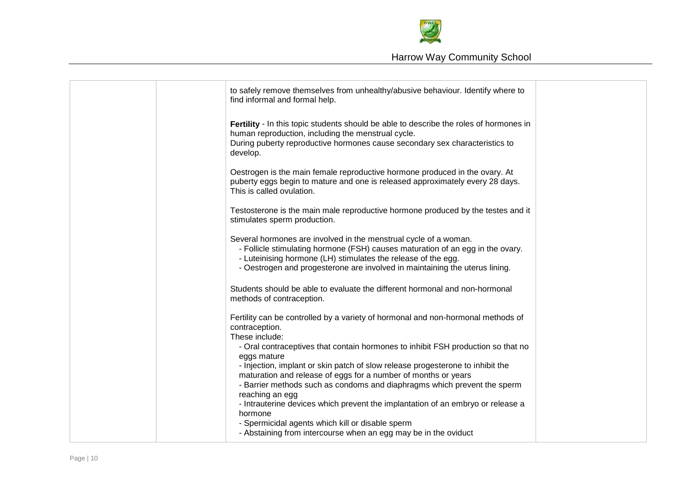

|  | to safely remove themselves from unhealthy/abusive behaviour. Identify where to<br>find informal and formal help.                                                                                                                                                                                  |  |
|--|----------------------------------------------------------------------------------------------------------------------------------------------------------------------------------------------------------------------------------------------------------------------------------------------------|--|
|  | Fertility - In this topic students should be able to describe the roles of hormones in<br>human reproduction, including the menstrual cycle.<br>During puberty reproductive hormones cause secondary sex characteristics to<br>develop.                                                            |  |
|  | Oestrogen is the main female reproductive hormone produced in the ovary. At<br>puberty eggs begin to mature and one is released approximately every 28 days.<br>This is called ovulation.                                                                                                          |  |
|  | Testosterone is the main male reproductive hormone produced by the testes and it<br>stimulates sperm production.                                                                                                                                                                                   |  |
|  | Several hormones are involved in the menstrual cycle of a woman.<br>- Follicle stimulating hormone (FSH) causes maturation of an egg in the ovary.<br>- Luteinising hormone (LH) stimulates the release of the egg.<br>- Oestrogen and progesterone are involved in maintaining the uterus lining. |  |
|  | Students should be able to evaluate the different hormonal and non-hormonal<br>methods of contraception.                                                                                                                                                                                           |  |
|  | Fertility can be controlled by a variety of hormonal and non-hormonal methods of<br>contraception.<br>These include:                                                                                                                                                                               |  |
|  | - Oral contraceptives that contain hormones to inhibit FSH production so that no<br>eggs mature<br>- Injection, implant or skin patch of slow release progesterone to inhibit the<br>maturation and release of eggs for a number of months or years                                                |  |
|  | - Barrier methods such as condoms and diaphragms which prevent the sperm<br>reaching an egg<br>- Intrauterine devices which prevent the implantation of an embryo or release a                                                                                                                     |  |
|  | hormone<br>- Spermicidal agents which kill or disable sperm<br>- Abstaining from intercourse when an egg may be in the oviduct                                                                                                                                                                     |  |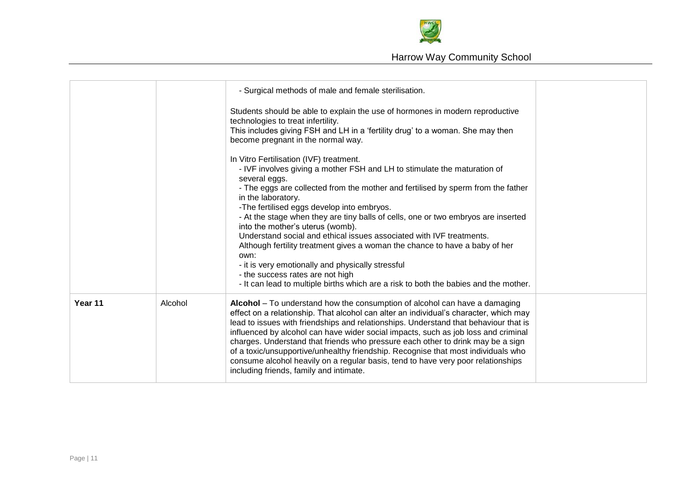

|         |         | - Surgical methods of male and female sterilisation.<br>Students should be able to explain the use of hormones in modern reproductive<br>technologies to treat infertility.<br>This includes giving FSH and LH in a 'fertility drug' to a woman. She may then<br>become pregnant in the normal way.<br>In Vitro Fertilisation (IVF) treatment.<br>- IVF involves giving a mother FSH and LH to stimulate the maturation of                                                                                                                                                                                                                               |  |
|---------|---------|----------------------------------------------------------------------------------------------------------------------------------------------------------------------------------------------------------------------------------------------------------------------------------------------------------------------------------------------------------------------------------------------------------------------------------------------------------------------------------------------------------------------------------------------------------------------------------------------------------------------------------------------------------|--|
|         |         | several eggs.<br>- The eggs are collected from the mother and fertilised by sperm from the father<br>in the laboratory.<br>-The fertilised eggs develop into embryos.<br>- At the stage when they are tiny balls of cells, one or two embryos are inserted<br>into the mother's uterus (womb).<br>Understand social and ethical issues associated with IVF treatments.<br>Although fertility treatment gives a woman the chance to have a baby of her<br>own:<br>- it is very emotionally and physically stressful<br>- the success rates are not high<br>- It can lead to multiple births which are a risk to both the babies and the mother.           |  |
| Year 11 | Alcohol | Alcohol - To understand how the consumption of alcohol can have a damaging<br>effect on a relationship. That alcohol can alter an individual's character, which may<br>lead to issues with friendships and relationships. Understand that behaviour that is<br>influenced by alcohol can have wider social impacts, such as job loss and criminal<br>charges. Understand that friends who pressure each other to drink may be a sign<br>of a toxic/unsupportive/unhealthy friendship. Recognise that most individuals who<br>consume alcohol heavily on a regular basis, tend to have very poor relationships<br>including friends, family and intimate. |  |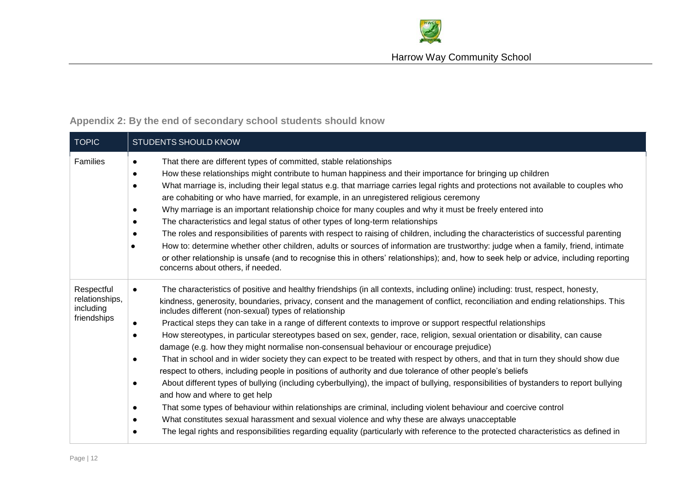

<span id="page-11-0"></span>

| <b>TOPIC</b>                                             | <b>STUDENTS SHOULD KNOW</b>                                                                                                                                                                                                                                                                                                                                                                                                                                                                                                                                                                                                                                                                                                                                                                                                                                                                                                                                                                                                                                                                                                                                                                                                                                                                                                                                                                                                                                                                                                                                            |  |  |  |
|----------------------------------------------------------|------------------------------------------------------------------------------------------------------------------------------------------------------------------------------------------------------------------------------------------------------------------------------------------------------------------------------------------------------------------------------------------------------------------------------------------------------------------------------------------------------------------------------------------------------------------------------------------------------------------------------------------------------------------------------------------------------------------------------------------------------------------------------------------------------------------------------------------------------------------------------------------------------------------------------------------------------------------------------------------------------------------------------------------------------------------------------------------------------------------------------------------------------------------------------------------------------------------------------------------------------------------------------------------------------------------------------------------------------------------------------------------------------------------------------------------------------------------------------------------------------------------------------------------------------------------------|--|--|--|
| Families                                                 | That there are different types of committed, stable relationships<br>$\bullet$<br>How these relationships might contribute to human happiness and their importance for bringing up children<br>$\bullet$<br>What marriage is, including their legal status e.g. that marriage carries legal rights and protections not available to couples who<br>$\bullet$<br>are cohabiting or who have married, for example, in an unregistered religious ceremony<br>Why marriage is an important relationship choice for many couples and why it must be freely entered into<br>$\bullet$<br>The characteristics and legal status of other types of long-term relationships<br>$\bullet$<br>The roles and responsibilities of parents with respect to raising of children, including the characteristics of successful parenting<br>$\bullet$<br>How to: determine whether other children, adults or sources of information are trustworthy: judge when a family, friend, intimate<br>or other relationship is unsafe (and to recognise this in others' relationships); and, how to seek help or advice, including reporting<br>concerns about others, if needed.                                                                                                                                                                                                                                                                                                                                                                                                                |  |  |  |
| Respectful<br>relationships,<br>including<br>friendships | The characteristics of positive and healthy friendships (in all contexts, including online) including: trust, respect, honesty,<br>$\bullet$<br>kindness, generosity, boundaries, privacy, consent and the management of conflict, reconciliation and ending relationships. This<br>includes different (non-sexual) types of relationship<br>Practical steps they can take in a range of different contexts to improve or support respectful relationships<br>$\bullet$<br>How stereotypes, in particular stereotypes based on sex, gender, race, religion, sexual orientation or disability, can cause<br>$\bullet$<br>damage (e.g. how they might normalise non-consensual behaviour or encourage prejudice)<br>That in school and in wider society they can expect to be treated with respect by others, and that in turn they should show due<br>$\bullet$<br>respect to others, including people in positions of authority and due tolerance of other people's beliefs<br>About different types of bullying (including cyberbullying), the impact of bullying, responsibilities of bystanders to report bullying<br>$\bullet$<br>and how and where to get help<br>That some types of behaviour within relationships are criminal, including violent behaviour and coercive control<br>$\bullet$<br>What constitutes sexual harassment and sexual violence and why these are always unacceptable<br>$\bullet$<br>The legal rights and responsibilities regarding equality (particularly with reference to the protected characteristics as defined in<br>$\bullet$ |  |  |  |

## **Appendix 2: By the end of secondary school students should know**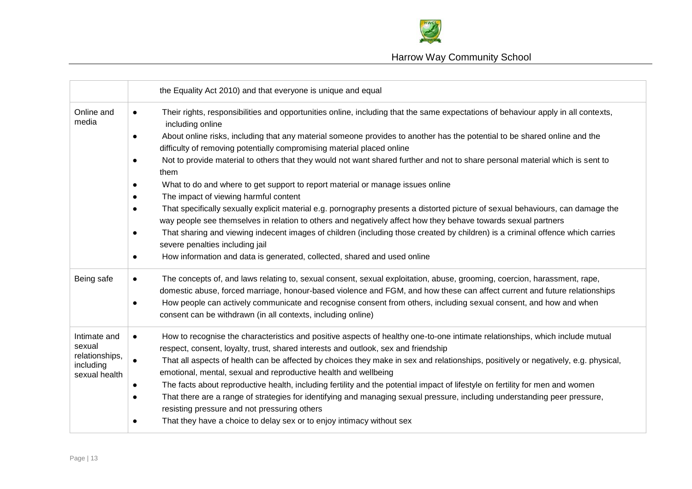

## Harrow Way Community School

|                                                                        | the Equality Act 2010) and that everyone is unique and equal                                                                                                                                                                                                                                                                                                                                                                                                                                                                                                                                                                                                                                                                                                                                                                                                                                                                                                                                                                                                                                                                            |
|------------------------------------------------------------------------|-----------------------------------------------------------------------------------------------------------------------------------------------------------------------------------------------------------------------------------------------------------------------------------------------------------------------------------------------------------------------------------------------------------------------------------------------------------------------------------------------------------------------------------------------------------------------------------------------------------------------------------------------------------------------------------------------------------------------------------------------------------------------------------------------------------------------------------------------------------------------------------------------------------------------------------------------------------------------------------------------------------------------------------------------------------------------------------------------------------------------------------------|
| Online and<br>media                                                    | Their rights, responsibilities and opportunities online, including that the same expectations of behaviour apply in all contexts,<br>$\bullet$<br>including online<br>About online risks, including that any material someone provides to another has the potential to be shared online and the<br>$\bullet$<br>difficulty of removing potentially compromising material placed online<br>Not to provide material to others that they would not want shared further and not to share personal material which is sent to<br>$\bullet$<br>them<br>What to do and where to get support to report material or manage issues online<br>$\bullet$<br>The impact of viewing harmful content<br>That specifically sexually explicit material e.g. pornography presents a distorted picture of sexual behaviours, can damage the<br>$\bullet$<br>way people see themselves in relation to others and negatively affect how they behave towards sexual partners<br>That sharing and viewing indecent images of children (including those created by children) is a criminal offence which carries<br>$\bullet$<br>severe penalties including jail |
| Being safe                                                             | How information and data is generated, collected, shared and used online<br>$\bullet$<br>The concepts of, and laws relating to, sexual consent, sexual exploitation, abuse, grooming, coercion, harassment, rape,<br>$\bullet$<br>domestic abuse, forced marriage, honour-based violence and FGM, and how these can affect current and future relationships                                                                                                                                                                                                                                                                                                                                                                                                                                                                                                                                                                                                                                                                                                                                                                             |
|                                                                        | How people can actively communicate and recognise consent from others, including sexual consent, and how and when<br>$\bullet$<br>consent can be withdrawn (in all contexts, including online)                                                                                                                                                                                                                                                                                                                                                                                                                                                                                                                                                                                                                                                                                                                                                                                                                                                                                                                                          |
| Intimate and<br>sexual<br>relationships,<br>including<br>sexual health | How to recognise the characteristics and positive aspects of healthy one-to-one intimate relationships, which include mutual<br>$\bullet$<br>respect, consent, loyalty, trust, shared interests and outlook, sex and friendship<br>That all aspects of health can be affected by choices they make in sex and relationships, positively or negatively, e.g. physical,<br>emotional, mental, sexual and reproductive health and wellbeing<br>The facts about reproductive health, including fertility and the potential impact of lifestyle on fertility for men and women<br>$\bullet$<br>That there are a range of strategies for identifying and managing sexual pressure, including understanding peer pressure,<br>$\bullet$<br>resisting pressure and not pressuring others<br>That they have a choice to delay sex or to enjoy intimacy without sex<br>$\bullet$                                                                                                                                                                                                                                                                  |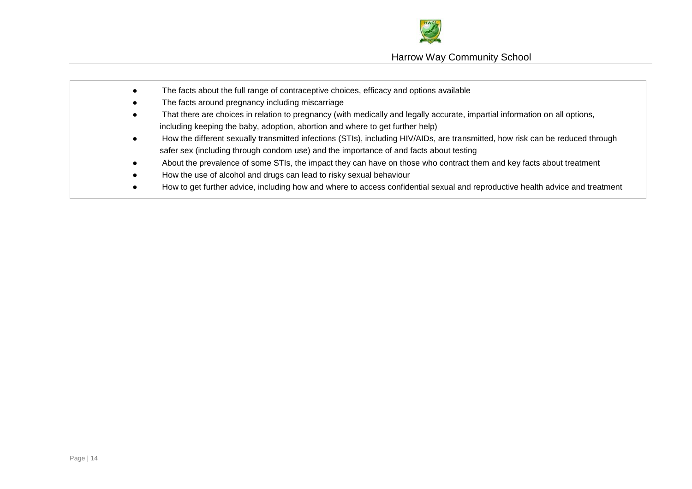

|  | The facts about the full range of contraceptive choices, efficacy and options available                                        |
|--|--------------------------------------------------------------------------------------------------------------------------------|
|  | The facts around pregnancy including miscarriage                                                                               |
|  | That there are choices in relation to pregnancy (with medically and legally accurate, impartial information on all options,    |
|  | including keeping the baby, adoption, abortion and where to get further help)                                                  |
|  | How the different sexually transmitted infections (STIs), including HIV/AIDs, are transmitted, how risk can be reduced through |
|  | safer sex (including through condom use) and the importance of and facts about testing                                         |
|  | About the prevalence of some STIs, the impact they can have on those who contract them and key facts about treatment           |
|  | How the use of alcohol and drugs can lead to risky sexual behaviour                                                            |
|  | How to get further advice, including how and where to access confidential sexual and reproductive health advice and treatment  |
|  |                                                                                                                                |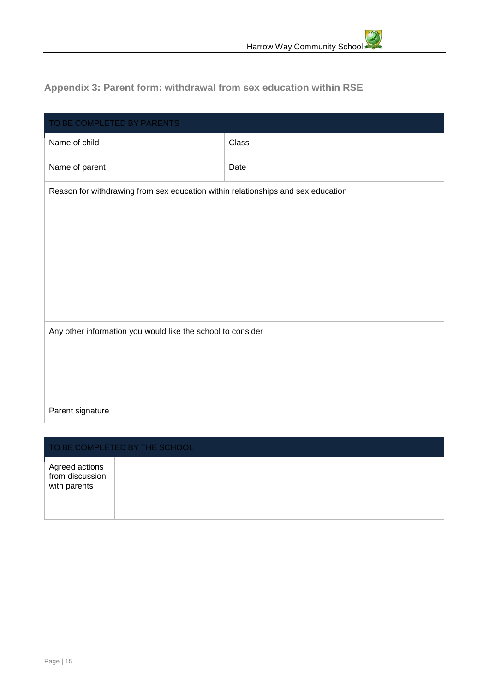## <span id="page-14-0"></span>**Appendix 3: Parent form: withdrawal from sex education within RSE**

| TO BE COMPLETED BY PARENTS |                                                                                  |       |  |
|----------------------------|----------------------------------------------------------------------------------|-------|--|
| Name of child              |                                                                                  | Class |  |
| Name of parent             |                                                                                  | Date  |  |
|                            | Reason for withdrawing from sex education within relationships and sex education |       |  |
|                            |                                                                                  |       |  |
|                            |                                                                                  |       |  |
|                            |                                                                                  |       |  |
|                            |                                                                                  |       |  |
|                            |                                                                                  |       |  |
|                            | Any other information you would like the school to consider                      |       |  |
|                            |                                                                                  |       |  |
|                            |                                                                                  |       |  |
| Parent signature           |                                                                                  |       |  |
|                            |                                                                                  |       |  |

| TO BE COMPLETED BY THE SCHOOL                     |  |  |
|---------------------------------------------------|--|--|
| Agreed actions<br>from discussion<br>with parents |  |  |
|                                                   |  |  |